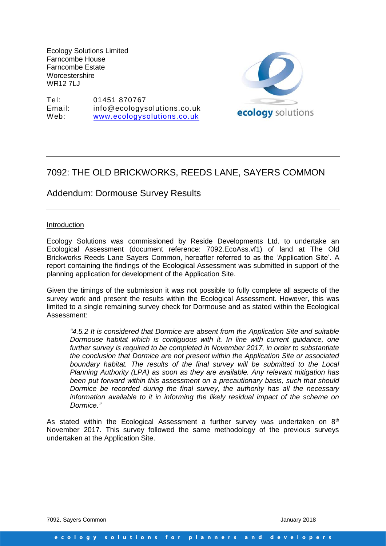Ecology Solutions Limited Farncombe House Farncombe Estate **Worcestershire** WR<sub>12</sub> 7LL

Tel: 01451 870767 Email: info@ecologysolutions.co.uk Web: [www.ecologysolutions.co.uk](http://www.ecologysolutions.co.uk/)



## 7092: THE OLD BRICKWORKS, REEDS LANE, SAYERS COMMON

Addendum: Dormouse Survey Results

## **Introduction**

Ecology Solutions was commissioned by Reside Developments Ltd. to undertake an Ecological Assessment (document reference: 7092.EcoAss.vf1) of land at The Old Brickworks Reeds Lane Sayers Common, hereafter referred to as the 'Application Site'. A report containing the findings of the Ecological Assessment was submitted in support of the planning application for development of the Application Site.

Given the timings of the submission it was not possible to fully complete all aspects of the survey work and present the results within the Ecological Assessment. However, this was limited to a single remaining survey check for Dormouse and as stated within the Ecological Assessment:

*"4.5.2 It is considered that Dormice are absent from the Application Site and suitable Dormouse habitat which is contiguous with it. In line with current guidance, one further survey is required to be completed in November 2017, in order to substantiate the conclusion that Dormice are not present within the Application Site or associated boundary habitat. The results of the final survey will be submitted to the Local Planning Authority (LPA) as soon as they are available. Any relevant mitigation has been put forward within this assessment on a precautionary basis, such that should Dormice be recorded during the final survey, the authority has all the necessary information available to it in informing the likely residual impact of the scheme on Dormice."*

As stated within the Ecological Assessment a further survey was undertaken on  $8<sup>th</sup>$ November 2017. This survey followed the same methodology of the previous surveys undertaken at the Application Site.

7092. Sayers Common January 2018